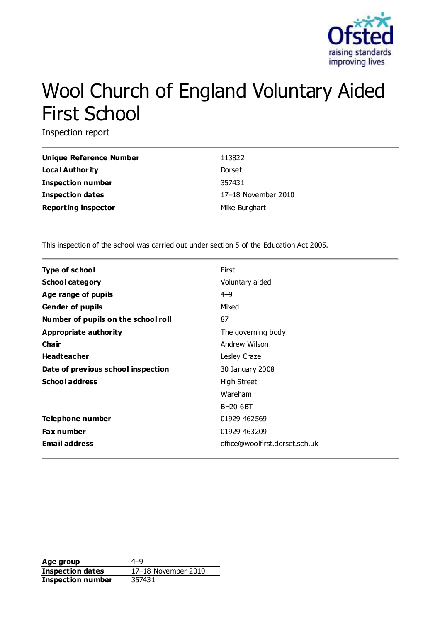

# Wool Church of England Voluntary Aided First School

Inspection report

| <b>Unique Reference Number</b> | 113822              |
|--------------------------------|---------------------|
| <b>Local Authority</b>         | Dorset              |
| Inspection number              | 357431              |
| <b>Inspection dates</b>        | 17-18 November 2010 |
| <b>Reporting inspector</b>     | Mike Burghart       |

This inspection of the school was carried out under section 5 of the Education Act 2005.

| <b>Type of school</b>               | First                          |
|-------------------------------------|--------------------------------|
| <b>School category</b>              | Voluntary aided                |
| Age range of pupils                 | $4 - 9$                        |
| <b>Gender of pupils</b>             | Mixed                          |
| Number of pupils on the school roll | 87                             |
| Appropriate authority               | The governing body             |
| Cha ir                              | Andrew Wilson                  |
| <b>Headteacher</b>                  | Lesley Craze                   |
| Date of previous school inspection  | 30 January 2008                |
| <b>School address</b>               | High Street                    |
|                                     | Wareham                        |
|                                     | <b>BH20 6BT</b>                |
| Telephone number                    | 01929 462569                   |
| <b>Fax number</b>                   | 01929 463209                   |
| <b>Email address</b>                | office@woolfirst.dorset.sch.uk |

Age group  $4-9$ **Inspection dates** 17–18 November 2010 **Inspection number** 357431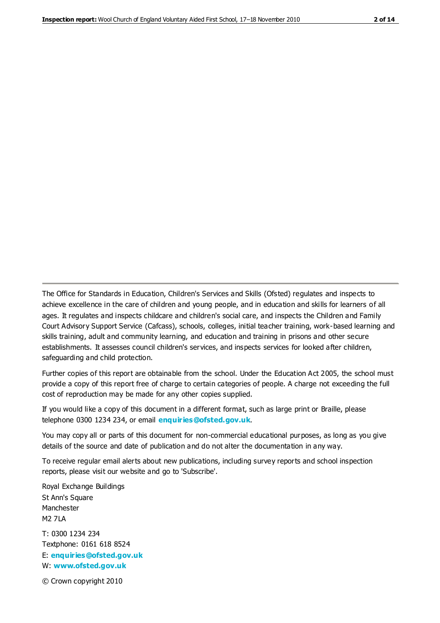The Office for Standards in Education, Children's Services and Skills (Ofsted) regulates and inspects to achieve excellence in the care of children and young people, and in education and skills for learners of all ages. It regulates and inspects childcare and children's social care, and inspects the Children and Family Court Advisory Support Service (Cafcass), schools, colleges, initial teacher training, work-based learning and skills training, adult and community learning, and education and training in prisons and other secure establishments. It assesses council children's services, and inspects services for looked after children, safeguarding and child protection.

Further copies of this report are obtainable from the school. Under the Education Act 2005, the school must provide a copy of this report free of charge to certain categories of people. A charge not exceeding the full cost of reproduction may be made for any other copies supplied.

If you would like a copy of this document in a different format, such as large print or Braille, please telephone 0300 1234 234, or email **[enquiries@ofsted.gov.uk](mailto:enquiries@ofsted.gov.uk)**.

You may copy all or parts of this document for non-commercial educational purposes, as long as you give details of the source and date of publication and do not alter the documentation in any way.

To receive regular email alerts about new publications, including survey reports and school inspection reports, please visit our website and go to 'Subscribe'.

Royal Exchange Buildings St Ann's Square Manchester M2 7LA T: 0300 1234 234 Textphone: 0161 618 8524 E: **[enquiries@ofsted.gov.uk](mailto:enquiries@ofsted.gov.uk)**

W: **[www.ofsted.gov.uk](http://www.ofsted.gov.uk/)**

© Crown copyright 2010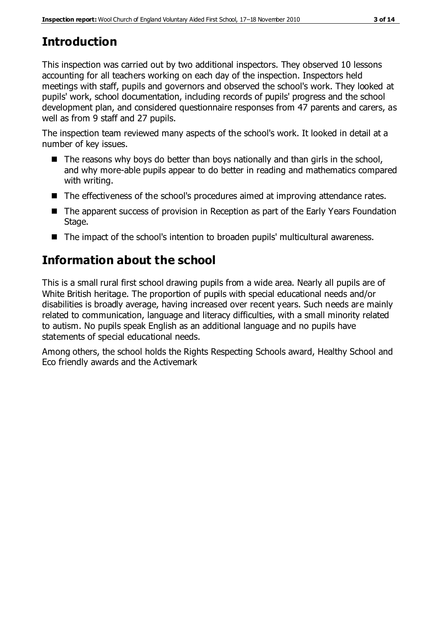# **Introduction**

This inspection was carried out by two additional inspectors. They observed 10 lessons accounting for all teachers working on each day of the inspection. Inspectors held meetings with staff, pupils and governors and observed the school's work. They looked at pupils' work, school documentation, including records of pupils' progress and the school development plan, and considered questionnaire responses from 47 parents and carers, as well as from 9 staff and 27 pupils.

The inspection team reviewed many aspects of the school's work. It looked in detail at a number of key issues.

- $\blacksquare$  The reasons why boys do better than boys nationally and than girls in the school, and why more-able pupils appear to do better in reading and mathematics compared with writing.
- The effectiveness of the school's procedures aimed at improving attendance rates.
- The apparent success of provision in Reception as part of the Early Years Foundation Stage.
- The impact of the school's intention to broaden pupils' multicultural awareness.

# **Information about the school**

This is a small rural first school drawing pupils from a wide area. Nearly all pupils are of White British heritage. The proportion of pupils with special educational needs and/or disabilities is broadly average, having increased over recent years. Such needs are mainly related to communication, language and literacy difficulties, with a small minority related to autism. No pupils speak English as an additional language and no pupils have statements of special educational needs.

Among others, the school holds the Rights Respecting Schools award, Healthy School and Eco friendly awards and the Activemark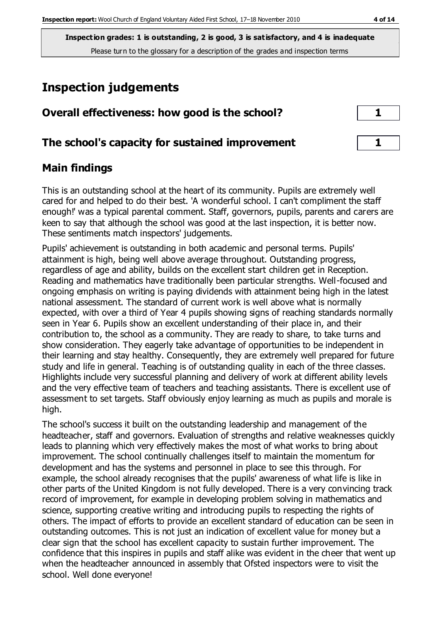**Inspection grades: 1 is outstanding, 2 is good, 3 is satisfactory, and 4 is inadequate** Please turn to the glossary for a description of the grades and inspection terms

# **Inspection judgements**

| Overall effectiveness: how good is the school?  |  |
|-------------------------------------------------|--|
| The school's capacity for sustained improvement |  |

## **Main findings**

This is an outstanding school at the heart of its community. Pupils are extremely well cared for and helped to do their best. 'A wonderful school. I can't compliment the staff enough!' was a typical parental comment. Staff, governors, pupils, parents and carers are keen to say that although the school was good at the last inspection, it is better now. These sentiments match inspectors' judgements.

Pupils' achievement is outstanding in both academic and personal terms. Pupils' attainment is high, being well above average throughout. Outstanding progress, regardless of age and ability, builds on the excellent start children get in Reception. Reading and mathematics have traditionally been particular strengths. Well-focused and ongoing emphasis on writing is paying dividends with attainment being high in the latest national assessment. The standard of current work is well above what is normally expected, with over a third of Year 4 pupils showing signs of reaching standards normally seen in Year 6. Pupils show an excellent understanding of their place in, and their contribution to, the school as a community. They are ready to share, to take turns and show consideration. They eagerly take advantage of opportunities to be independent in their learning and stay healthy. Consequently, they are extremely well prepared for future study and life in general. Teaching is of outstanding quality in each of the three classes. Highlights include very successful planning and delivery of work at different ability levels and the very effective team of teachers and teaching assistants. There is excellent use of assessment to set targets. Staff obviously enjoy learning as much as pupils and morale is high.

The school's success it built on the outstanding leadership and management of the headteacher, staff and governors. Evaluation of strengths and relative weaknesses quickly leads to planning which very effectively makes the most of what works to bring about improvement. The school continually challenges itself to maintain the momentum for development and has the systems and personnel in place to see this through. For example, the school already recognises that the pupils' awareness of what life is like in other parts of the United Kingdom is not fully developed. There is a very convincing track record of improvement, for example in developing problem solving in mathematics and science, supporting creative writing and introducing pupils to respecting the rights of others. The impact of efforts to provide an excellent standard of education can be seen in outstanding outcomes. This is not just an indication of excellent value for money but a clear sign that the school has excellent capacity to sustain further improvement. The confidence that this inspires in pupils and staff alike was evident in the cheer that went up when the headteacher announced in assembly that Ofsted inspectors were to visit the school. Well done everyone!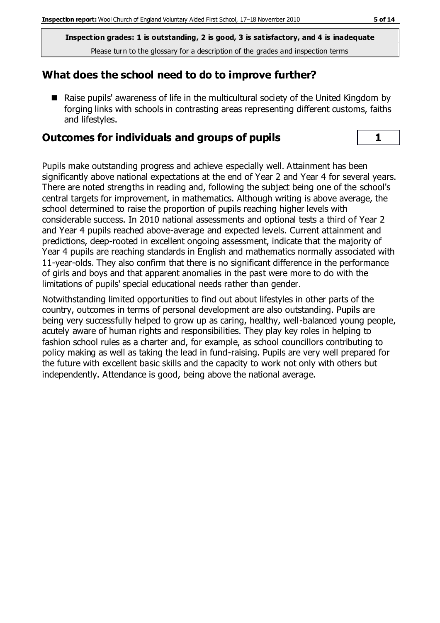**Inspection grades: 1 is outstanding, 2 is good, 3 is satisfactory, and 4 is inadequate** Please turn to the glossary for a description of the grades and inspection terms

#### **What does the school need to do to improve further?**

■ Raise pupils' awareness of life in the multicultural society of the United Kingdom by forging links with schools in contrasting areas representing different customs, faiths and lifestyles.

#### **Outcomes for individuals and groups of pupils 1**

Pupils make outstanding progress and achieve especially well. Attainment has been significantly above national expectations at the end of Year 2 and Year 4 for several years. There are noted strengths in reading and, following the subject being one of the school's central targets for improvement, in mathematics. Although writing is above average, the school determined to raise the proportion of pupils reaching higher levels with considerable success. In 2010 national assessments and optional tests a third of Year 2 and Year 4 pupils reached above-average and expected levels. Current attainment and predictions, deep-rooted in excellent ongoing assessment, indicate that the majority of Year 4 pupils are reaching standards in English and mathematics normally associated with 11-year-olds. They also confirm that there is no significant difference in the performance of girls and boys and that apparent anomalies in the past were more to do with the limitations of pupils' special educational needs rather than gender.

Notwithstanding limited opportunities to find out about lifestyles in other parts of the country, outcomes in terms of personal development are also outstanding. Pupils are being very successfully helped to grow up as caring, healthy, well-balanced young people, acutely aware of human rights and responsibilities. They play key roles in helping to fashion school rules as a charter and, for example, as school councillors contributing to policy making as well as taking the lead in fund-raising. Pupils are very well prepared for the future with excellent basic skills and the capacity to work not only with others but independently. Attendance is good, being above the national average.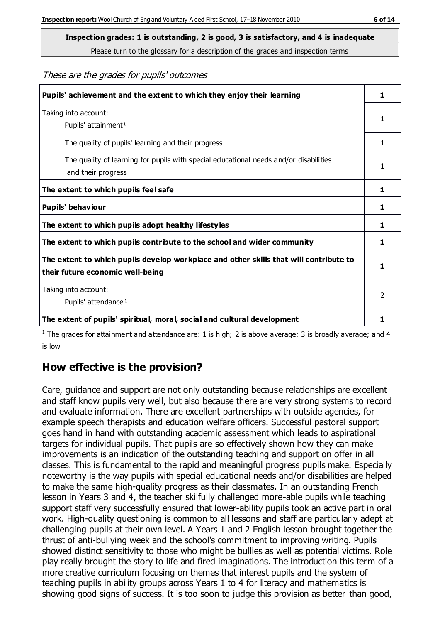Please turn to the glossary for a description of the grades and inspection terms

#### These are the grades for pupils' outcomes

| Pupils' achievement and the extent to which they enjoy their learning                                                     | 1              |
|---------------------------------------------------------------------------------------------------------------------------|----------------|
| Taking into account:<br>Pupils' attainment <sup>1</sup>                                                                   | 1              |
| The quality of pupils' learning and their progress                                                                        | $\mathbf{1}$   |
| The quality of learning for pupils with special educational needs and/or disabilities<br>and their progress               | 1              |
| The extent to which pupils feel safe                                                                                      | 1              |
| Pupils' behaviour                                                                                                         | 1              |
| The extent to which pupils adopt healthy lifestyles                                                                       |                |
| The extent to which pupils contribute to the school and wider community                                                   |                |
| The extent to which pupils develop workplace and other skills that will contribute to<br>their future economic well-being |                |
| Taking into account:<br>Pupils' attendance <sup>1</sup>                                                                   | $\mathfrak{p}$ |
| The extent of pupils' spiritual, moral, social and cultural development                                                   |                |

<sup>1</sup> The grades for attainment and attendance are: 1 is high; 2 is above average; 3 is broadly average; and 4 is low

## **How effective is the provision?**

Care, guidance and support are not only outstanding because relationships are excellent and staff know pupils very well, but also because there are very strong systems to record and evaluate information. There are excellent partnerships with outside agencies, for example speech therapists and education welfare officers. Successful pastoral support goes hand in hand with outstanding academic assessment which leads to aspirational targets for individual pupils. That pupils are so effectively shown how they can make improvements is an indication of the outstanding teaching and support on offer in all classes. This is fundamental to the rapid and meaningful progress pupils make. Especially noteworthy is the way pupils with special educational needs and/or disabilities are helped to make the same high-quality progress as their classmates. In an outstanding French lesson in Years 3 and 4, the teacher skilfully challenged more-able pupils while teaching support staff very successfully ensured that lower-ability pupils took an active part in oral work. High-quality questioning is common to all lessons and staff are particularly adept at challenging pupils at their own level. A Years 1 and 2 English lesson brought together the thrust of anti-bullying week and the school's commitment to improving writing. Pupils showed distinct sensitivity to those who might be bullies as well as potential victims. Role play really brought the story to life and fired imaginations. The introduction this term of a more creative curriculum focusing on themes that interest pupils and the system of teaching pupils in ability groups across Years 1 to 4 for literacy and mathematics is showing good signs of success. It is too soon to judge this provision as better than good,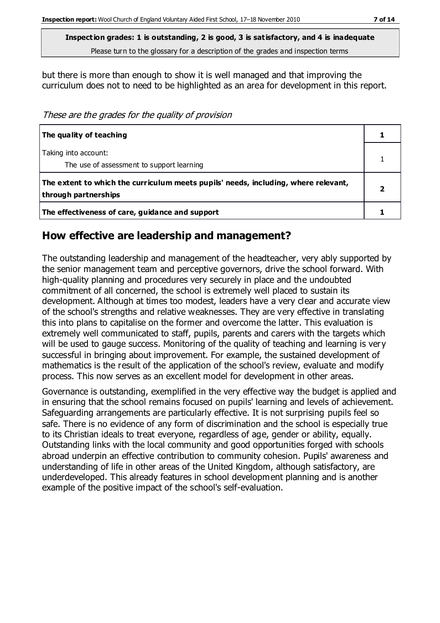Please turn to the glossary for a description of the grades and inspection terms

but there is more than enough to show it is well managed and that improving the curriculum does not to need to be highlighted as an area for development in this report.

These are the grades for the quality of provision

| The quality of teaching                                                                                    |  |
|------------------------------------------------------------------------------------------------------------|--|
| Taking into account:<br>The use of assessment to support learning                                          |  |
| The extent to which the curriculum meets pupils' needs, including, where relevant,<br>through partnerships |  |
| The effectiveness of care, guidance and support                                                            |  |

#### **How effective are leadership and management?**

The outstanding leadership and management of the headteacher, very ably supported by the senior management team and perceptive governors, drive the school forward. With high-quality planning and procedures very securely in place and the undoubted commitment of all concerned, the school is extremely well placed to sustain its development. Although at times too modest, leaders have a very clear and accurate view of the school's strengths and relative weaknesses. They are very effective in translating this into plans to capitalise on the former and overcome the latter. This evaluation is extremely well communicated to staff, pupils, parents and carers with the targets which will be used to gauge success. Monitoring of the quality of teaching and learning is very successful in bringing about improvement. For example, the sustained development of mathematics is the result of the application of the school's review, evaluate and modify process. This now serves as an excellent model for development in other areas.

Governance is outstanding, exemplified in the very effective way the budget is applied and in ensuring that the school remains focused on pupils' learning and levels of achievement. Safeguarding arrangements are particularly effective. It is not surprising pupils feel so safe. There is no evidence of any form of discrimination and the school is especially true to its Christian ideals to treat everyone, regardless of age, gender or ability, equally. Outstanding links with the local community and good opportunities forged with schools abroad underpin an effective contribution to community cohesion. Pupils' awareness and understanding of life in other areas of the United Kingdom, although satisfactory, are underdeveloped. This already features in school development planning and is another example of the positive impact of the school's self-evaluation.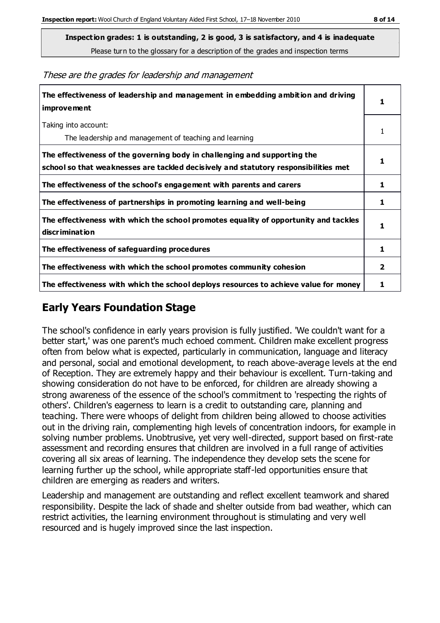Please turn to the glossary for a description of the grades and inspection terms

These are the grades for leadership and management

| The effectiveness of leadership and management in embedding ambition and driving<br>improvement                                                                  |   |
|------------------------------------------------------------------------------------------------------------------------------------------------------------------|---|
| Taking into account:<br>The leadership and management of teaching and learning                                                                                   | 1 |
| The effectiveness of the governing body in challenging and supporting the<br>school so that weaknesses are tackled decisively and statutory responsibilities met | 1 |
| The effectiveness of the school's engagement with parents and carers                                                                                             | 1 |
| The effectiveness of partnerships in promoting learning and well-being                                                                                           | 1 |
| The effectiveness with which the school promotes equality of opportunity and tackles<br>discrimination                                                           | 1 |
| The effectiveness of safeguarding procedures                                                                                                                     | 1 |
| The effectiveness with which the school promotes community cohesion                                                                                              |   |
| The effectiveness with which the school deploys resources to achieve value for money                                                                             |   |

## **Early Years Foundation Stage**

The school's confidence in early years provision is fully justified. 'We couldn't want for a better start,' was one parent's much echoed comment. Children make excellent progress often from below what is expected, particularly in communication, language and literacy and personal, social and emotional development, to reach above-average levels at the end of Reception. They are extremely happy and their behaviour is excellent. Turn-taking and showing consideration do not have to be enforced, for children are already showing a strong awareness of the essence of the school's commitment to 'respecting the rights of others'. Children's eagerness to learn is a credit to outstanding care, planning and teaching. There were whoops of delight from children being allowed to choose activities out in the driving rain, complementing high levels of concentration indoors, for example in solving number problems. Unobtrusive, yet very well-directed, support based on first-rate assessment and recording ensures that children are involved in a full range of activities covering all six areas of learning. The independence they develop sets the scene for learning further up the school, while appropriate staff-led opportunities ensure that children are emerging as readers and writers.

Leadership and management are outstanding and reflect excellent teamwork and shared responsibility. Despite the lack of shade and shelter outside from bad weather, which can restrict activities, the learning environment throughout is stimulating and very well resourced and is hugely improved since the last inspection.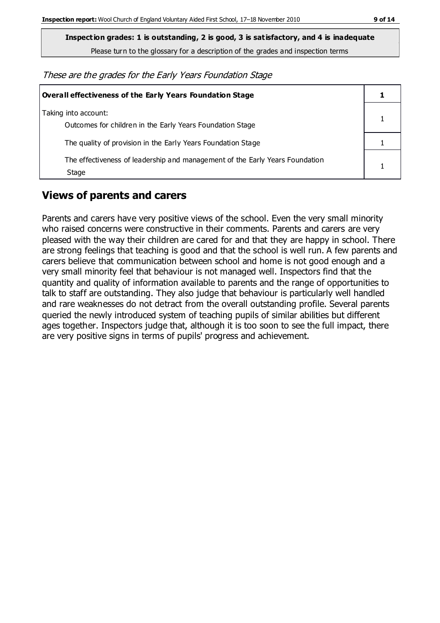Please turn to the glossary for a description of the grades and inspection terms

These are the grades for the Early Years Foundation Stage

| Overall effectiveness of the Early Years Foundation Stage                             |  |
|---------------------------------------------------------------------------------------|--|
| Taking into account:<br>Outcomes for children in the Early Years Foundation Stage     |  |
| The quality of provision in the Early Years Foundation Stage                          |  |
| The effectiveness of leadership and management of the Early Years Foundation<br>Stage |  |

## **Views of parents and carers**

Parents and carers have very positive views of the school. Even the very small minority who raised concerns were constructive in their comments. Parents and carers are very pleased with the way their children are cared for and that they are happy in school. There are strong feelings that teaching is good and that the school is well run. A few parents and carers believe that communication between school and home is not good enough and a very small minority feel that behaviour is not managed well. Inspectors find that the quantity and quality of information available to parents and the range of opportunities to talk to staff are outstanding. They also judge that behaviour is particularly well handled and rare weaknesses do not detract from the overall outstanding profile. Several parents queried the newly introduced system of teaching pupils of similar abilities but different ages together. Inspectors judge that, although it is too soon to see the full impact, there are very positive signs in terms of pupils' progress and achievement.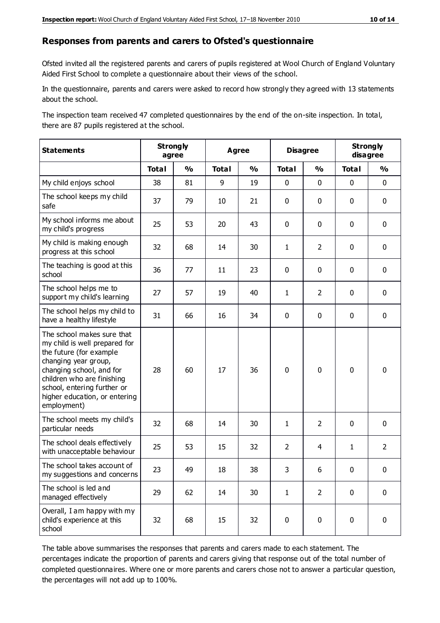#### **Responses from parents and carers to Ofsted's questionnaire**

Ofsted invited all the registered parents and carers of pupils registered at Wool Church of England Voluntary Aided First School to complete a questionnaire about their views of the school.

In the questionnaire, parents and carers were asked to record how strongly they agreed with 13 statements about the school.

The inspection team received 47 completed questionnaires by the end of the on-site inspection. In total, there are 87 pupils registered at the school.

| <b>Statements</b>                                                                                                                                                                                                                                       | <b>Strongly</b><br>agree |               | <b>Agree</b> |               | <b>Disagree</b> |                | <b>Strongly</b><br>disagree |                |
|---------------------------------------------------------------------------------------------------------------------------------------------------------------------------------------------------------------------------------------------------------|--------------------------|---------------|--------------|---------------|-----------------|----------------|-----------------------------|----------------|
|                                                                                                                                                                                                                                                         | <b>Total</b>             | $\frac{1}{2}$ | <b>Total</b> | $\frac{1}{2}$ | <b>Total</b>    | $\frac{1}{2}$  | <b>Total</b>                | $\frac{1}{2}$  |
| My child enjoys school                                                                                                                                                                                                                                  | 38                       | 81            | 9            | 19            | 0               | $\mathbf 0$    | $\mathbf 0$                 | $\mathbf 0$    |
| The school keeps my child<br>safe                                                                                                                                                                                                                       | 37                       | 79            | 10           | 21            | 0               | $\mathbf 0$    | $\mathbf 0$                 | $\mathbf 0$    |
| My school informs me about<br>my child's progress                                                                                                                                                                                                       | 25                       | 53            | 20           | 43            | 0               | $\mathbf{0}$   | $\mathbf 0$                 | $\mathbf 0$    |
| My child is making enough<br>progress at this school                                                                                                                                                                                                    | 32                       | 68            | 14           | 30            | $\mathbf{1}$    | $\overline{2}$ | $\mathbf 0$                 | $\mathbf 0$    |
| The teaching is good at this<br>school                                                                                                                                                                                                                  | 36                       | 77            | 11           | 23            | 0               | $\mathbf 0$    | $\mathbf 0$                 | $\mathbf 0$    |
| The school helps me to<br>support my child's learning                                                                                                                                                                                                   | 27                       | 57            | 19           | 40            | $\mathbf{1}$    | $\overline{2}$ | $\mathbf 0$                 | $\mathbf 0$    |
| The school helps my child to<br>have a healthy lifestyle                                                                                                                                                                                                | 31                       | 66            | 16           | 34            | 0               | $\mathbf 0$    | $\mathbf 0$                 | $\mathbf 0$    |
| The school makes sure that<br>my child is well prepared for<br>the future (for example<br>changing year group,<br>changing school, and for<br>children who are finishing<br>school, entering further or<br>higher education, or entering<br>employment) | 28                       | 60            | 17           | 36            | $\mathbf 0$     | $\mathbf 0$    | $\mathbf 0$                 | $\mathbf 0$    |
| The school meets my child's<br>particular needs                                                                                                                                                                                                         | 32                       | 68            | 14           | 30            | $\mathbf{1}$    | $\overline{2}$ | $\mathbf 0$                 | $\mathbf 0$    |
| The school deals effectively<br>with unacceptable behaviour                                                                                                                                                                                             | 25                       | 53            | 15           | 32            | $\overline{2}$  | $\overline{4}$ | $\mathbf{1}$                | $\overline{2}$ |
| The school takes account of<br>my suggestions and concerns                                                                                                                                                                                              | 23                       | 49            | 18           | 38            | 3               | 6              | $\Omega$                    | 0              |
| The school is led and<br>managed effectively                                                                                                                                                                                                            | 29                       | 62            | 14           | 30            | $\mathbf{1}$    | $\overline{2}$ | $\mathbf 0$                 | $\mathbf 0$    |
| Overall, I am happy with my<br>child's experience at this<br>school                                                                                                                                                                                     | 32                       | 68            | 15           | 32            | $\pmb{0}$       | $\mathbf 0$    | $\mathbf 0$                 | $\pmb{0}$      |

The table above summarises the responses that parents and carers made to each statement. The percentages indicate the proportion of parents and carers giving that response out of the total number of completed questionnaires. Where one or more parents and carers chose not to answer a particular question, the percentages will not add up to 100%.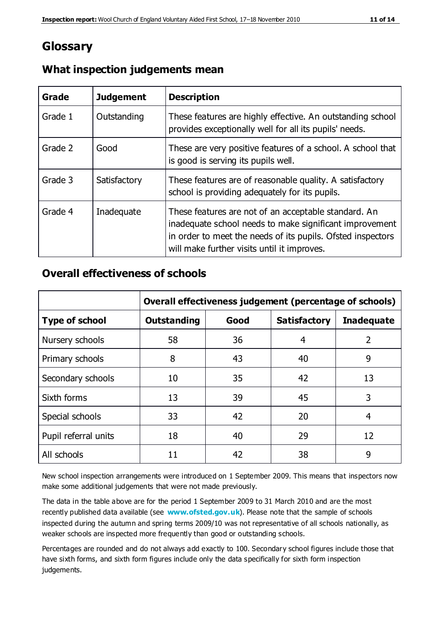## **Glossary**

| Grade   | <b>Judgement</b> | <b>Description</b>                                                                                                                                                                                                            |
|---------|------------------|-------------------------------------------------------------------------------------------------------------------------------------------------------------------------------------------------------------------------------|
| Grade 1 | Outstanding      | These features are highly effective. An outstanding school<br>provides exceptionally well for all its pupils' needs.                                                                                                          |
| Grade 2 | Good             | These are very positive features of a school. A school that<br>is good is serving its pupils well.                                                                                                                            |
| Grade 3 | Satisfactory     | These features are of reasonable quality. A satisfactory<br>school is providing adequately for its pupils.                                                                                                                    |
| Grade 4 | Inadequate       | These features are not of an acceptable standard. An<br>inadequate school needs to make significant improvement<br>in order to meet the needs of its pupils. Ofsted inspectors<br>will make further visits until it improves. |

#### **What inspection judgements mean**

#### **Overall effectiveness of schools**

|                       | Overall effectiveness judgement (percentage of schools) |      |                     |                   |
|-----------------------|---------------------------------------------------------|------|---------------------|-------------------|
| <b>Type of school</b> | <b>Outstanding</b>                                      | Good | <b>Satisfactory</b> | <b>Inadequate</b> |
| Nursery schools       | 58                                                      | 36   | 4                   | 2                 |
| Primary schools       | 8                                                       | 43   | 40                  | 9                 |
| Secondary schools     | 10                                                      | 35   | 42                  | 13                |
| Sixth forms           | 13                                                      | 39   | 45                  | 3                 |
| Special schools       | 33                                                      | 42   | 20                  | 4                 |
| Pupil referral units  | 18                                                      | 40   | 29                  | 12                |
| All schools           | 11                                                      | 42   | 38                  | 9                 |

New school inspection arrangements were introduced on 1 September 2009. This means that inspectors now make some additional judgements that were not made previously.

The data in the table above are for the period 1 September 2009 to 31 March 2010 and are the most recently published data available (see **[www.ofsted.gov.uk](http://www.ofsted.gov.uk/)**). Please note that the sample of schools inspected during the autumn and spring terms 2009/10 was not representative of all schools nationally, as weaker schools are inspected more frequently than good or outstanding schools.

Percentages are rounded and do not always add exactly to 100. Secondary school figures include those that have sixth forms, and sixth form figures include only the data specifically for sixth form inspection judgements.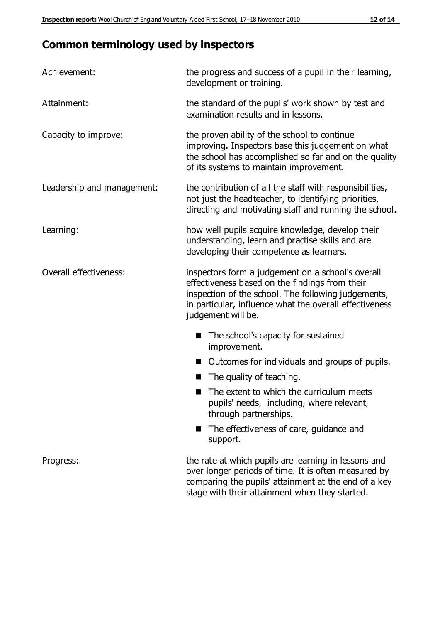# **Common terminology used by inspectors**

| Achievement:               | the progress and success of a pupil in their learning,<br>development or training.                                                                                                                                                          |  |  |
|----------------------------|---------------------------------------------------------------------------------------------------------------------------------------------------------------------------------------------------------------------------------------------|--|--|
| Attainment:                | the standard of the pupils' work shown by test and<br>examination results and in lessons.                                                                                                                                                   |  |  |
| Capacity to improve:       | the proven ability of the school to continue<br>improving. Inspectors base this judgement on what<br>the school has accomplished so far and on the quality<br>of its systems to maintain improvement.                                       |  |  |
| Leadership and management: | the contribution of all the staff with responsibilities,<br>not just the headteacher, to identifying priorities,<br>directing and motivating staff and running the school.                                                                  |  |  |
| Learning:                  | how well pupils acquire knowledge, develop their<br>understanding, learn and practise skills and are<br>developing their competence as learners.                                                                                            |  |  |
| Overall effectiveness:     | inspectors form a judgement on a school's overall<br>effectiveness based on the findings from their<br>inspection of the school. The following judgements,<br>in particular, influence what the overall effectiveness<br>judgement will be. |  |  |
|                            | The school's capacity for sustained<br>improvement.                                                                                                                                                                                         |  |  |
|                            | Outcomes for individuals and groups of pupils.                                                                                                                                                                                              |  |  |
|                            | The quality of teaching.                                                                                                                                                                                                                    |  |  |
|                            | The extent to which the curriculum meets<br>pupils' needs, including, where relevant,<br>through partnerships.                                                                                                                              |  |  |
|                            | The effectiveness of care, guidance and<br>support.                                                                                                                                                                                         |  |  |
| Progress:                  | the rate at which pupils are learning in lessons and<br>over longer periods of time. It is often measured by<br>comparing the pupils' attainment at the end of a key                                                                        |  |  |

stage with their attainment when they started.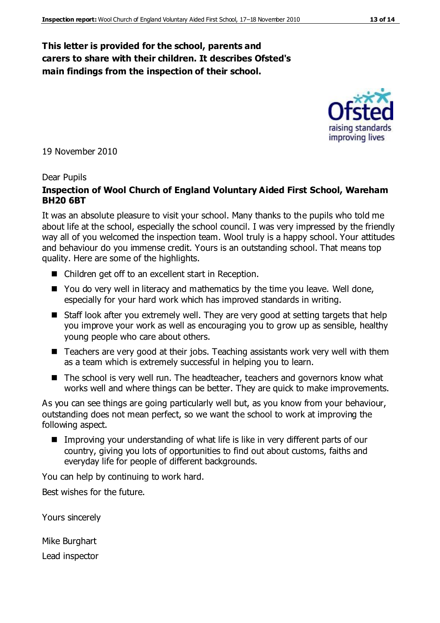#### **This letter is provided for the school, parents and carers to share with their children. It describes Ofsted's main findings from the inspection of their school.**

19 November 2010

#### Dear Pupils

#### **Inspection of Wool Church of England Voluntary Aided First School, Wareham BH20 6BT**

It was an absolute pleasure to visit your school. Many thanks to the pupils who told me about life at the school, especially the school council. I was very impressed by the friendly way all of you welcomed the inspection team. Wool truly is a happy school. Your attitudes and behaviour do you immense credit. Yours is an outstanding school. That means top quality. Here are some of the highlights.

- Children get off to an excellent start in Reception.
- You do very well in literacy and mathematics by the time you leave. Well done, especially for your hard work which has improved standards in writing.
- Staff look after you extremely well. They are very good at setting targets that help you improve your work as well as encouraging you to grow up as sensible, healthy young people who care about others.
- Teachers are very good at their jobs. Teaching assistants work very well with them as a team which is extremely successful in helping you to learn.
- The school is very well run. The headteacher, teachers and governors know what works well and where things can be better. They are quick to make improvements.

As you can see things are going particularly well but, as you know from your behaviour, outstanding does not mean perfect, so we want the school to work at improving the following aspect.

■ Improving your understanding of what life is like in very different parts of our country, giving you lots of opportunities to find out about customs, faiths and everyday life for people of different backgrounds.

You can help by continuing to work hard.

Best wishes for the future.

Yours sincerely

Mike Burghart

Lead inspector